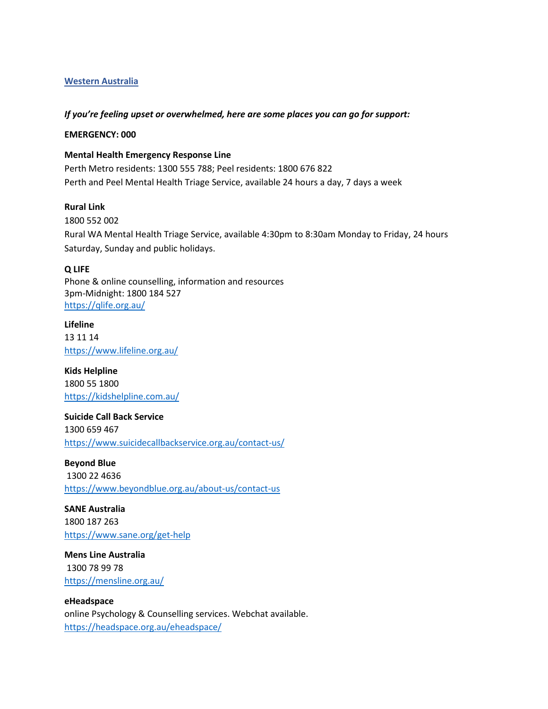## **Western Australia**

#### *If you're feeling upset or overwhelmed, here are some places you can go for support:*

### **EMERGENCY: 000**

#### **Mental Health Emergency Response Line**

Perth Metro residents: 1300 555 788; Peel residents: 1800 676 822 Perth and Peel Mental Health Triage Service, available 24 hours a day, 7 days a week

## **Rural Link**

1800 552 002 Rural WA Mental Health Triage Service, available 4:30pm to 8:30am Monday to Friday, 24 hours Saturday, Sunday and public holidays.

#### **Q LIFE**

Phone & online counselling, information and resources 3pm-Midnight: 1800 184 527 <https://qlife.org.au/>

**Lifeline**  13 11 14 <https://www.lifeline.org.au/>

**Kids Helpline** 1800 55 1800 <https://kidshelpline.com.au/>

**Suicide Call Back Service** 1300 659 467 <https://www.suicidecallbackservice.org.au/contact-us/>

**Beyond Blue** 1300 22 4636 <https://www.beyondblue.org.au/about-us/contact-us>

**SANE Australia** 1800 187 263 <https://www.sane.org/get-help>

**Mens Line Australia** 1300 78 99 78 <https://mensline.org.au/>

**eHeadspace** online Psychology & Counselling services. Webchat available. <https://headspace.org.au/eheadspace/>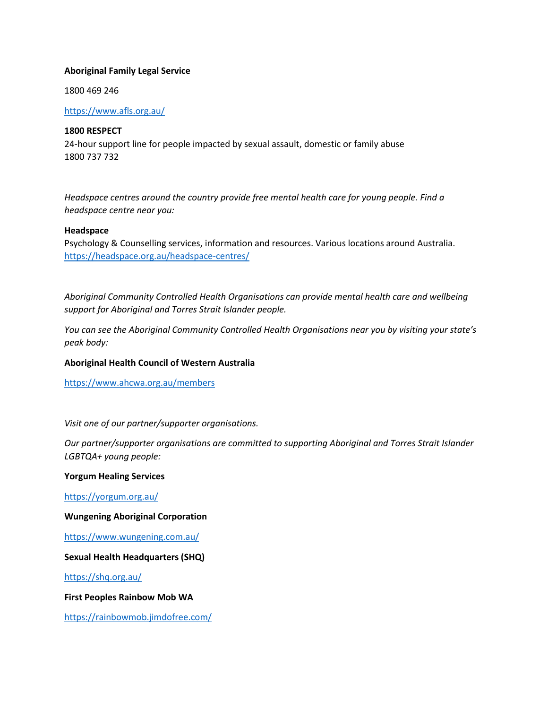### **Aboriginal Family Legal Service**

1800 469 246

## <https://www.afls.org.au/>

## **1800 RESPECT**

24-hour support line for people impacted by sexual assault, domestic or family abuse 1800 737 732

*Headspace centres around the country provide free mental health care for young people. Find a headspace centre near you:*

#### **Headspace**

Psychology & Counselling services, information and resources. Various locations around Australia. <https://headspace.org.au/headspace-centres/>

*Aboriginal Community Controlled Health Organisations can provide mental health care and wellbeing support for Aboriginal and Torres Strait Islander people.* 

*You can see the Aboriginal Community Controlled Health Organisations near you by visiting your state's peak body:*

## **Aboriginal Health Council of Western Australia**

<https://www.ahcwa.org.au/members>

*Visit one of our partner/supporter organisations.*

*Our partner/supporter organisations are committed to supporting Aboriginal and Torres Strait Islander LGBTQA+ young people:*

#### **Yorgum Healing Services**

<https://yorgum.org.au/>

#### **Wungening Aboriginal Corporation**

<https://www.wungening.com.au/>

## **Sexual Health Headquarters (SHQ)**

<https://shq.org.au/>

**First Peoples Rainbow Mob WA** 

<https://rainbowmob.jimdofree.com/>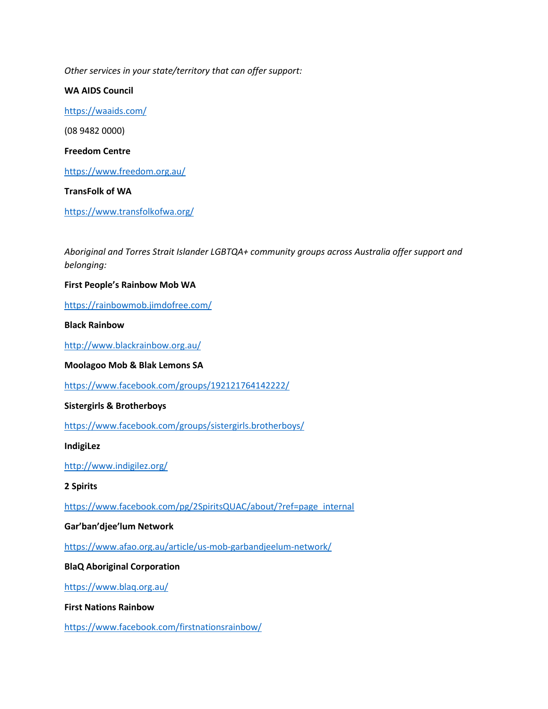*Other services in your state/territory that can offer support:*

**WA AIDS Council** <https://waaids.com/> (08 9482 0000) **Freedom Centre** <https://www.freedom.org.au/> **TransFolk of WA**

<https://www.transfolkofwa.org/>

*Aboriginal and Torres Strait Islander LGBTQA+ community groups across Australia offer support and belonging:*

**First People's Rainbow Mob WA**

<https://rainbowmob.jimdofree.com/>

**Black Rainbow** 

<http://www.blackrainbow.org.au/>

**Moolagoo Mob & Blak Lemons SA** 

<https://www.facebook.com/groups/192121764142222/>

**Sistergirls & Brotherboys** 

<https://www.facebook.com/groups/sistergirls.brotherboys/>

**IndigiLez** 

<http://www.indigilez.org/>

**2 Spirits** 

[https://www.facebook.com/pg/2SpiritsQUAC/about/?ref=page\\_internal](https://www.facebook.com/pg/2SpiritsQUAC/about/?ref=page_internal)

#### **Gar'ban'djee'lum Network**

<https://www.afao.org.au/article/us-mob-garbandjeelum-network/>

**BlaQ Aboriginal Corporation**

<https://www.blaq.org.au/>

**First Nations Rainbow** 

<https://www.facebook.com/firstnationsrainbow/>